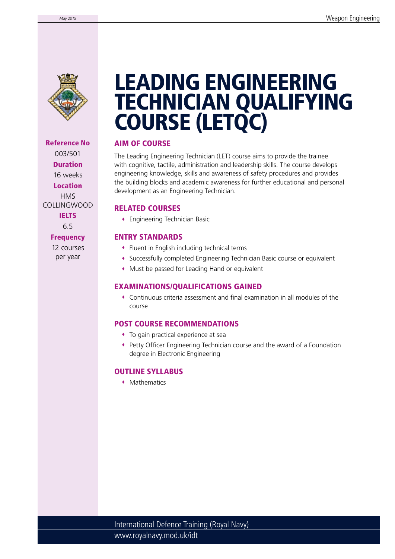

Reference No 003/501 Duration 16 weeks Location **HMS** COLLINGWOOD **IELTS** 6.5

# **Frequency**

12 courses per year

# LEADING ENGINEERING TECHNICIAN QUALIFYING COURSE (LETQC)

# AIM OF COURSE

The Leading Engineering Technician (LET) course aims to provide the trainee with cognitive, tactile, administration and leadership skills. The course develops engineering knowledge, skills and awareness of safety procedures and provides the building blocks and academic awareness for further educational and personal development as an Engineering Technician.

# RELATED COURSES

Engineering Technician Basic

# ENTRY STANDARDS

- Fluent in English including technical terms
- Successfully completed Engineering Technician Basic course or equivalent
- Must be passed for Leading Hand or equivalent

# EXAMINATIONS/QUALIFICATIONS GAINED

 Continuous criteria assessment and final examination in all modules of the course

#### POST COURSE RECOMMENDATIONS

- To gain practical experience at sea
- Petty Officer Engineering Technician course and the award of a Foundation degree in Electronic Engineering

#### OUTLINE SYLLABUS

**Mathematics**